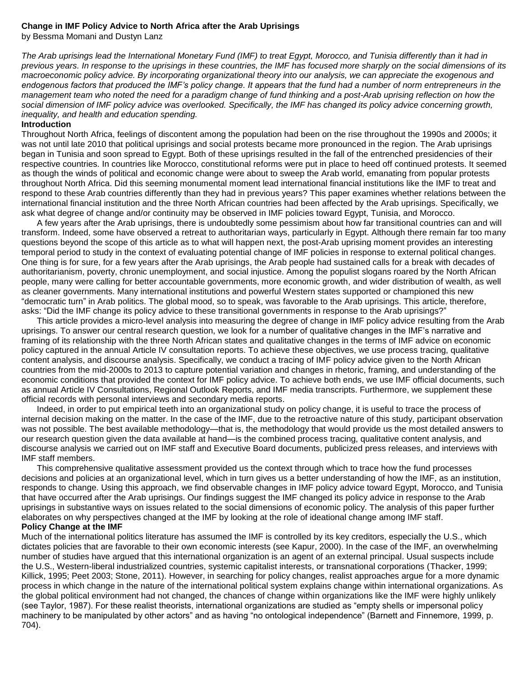# **Change in IMF Policy Advice to North Africa after the Arab Uprisings**

by Bessma Momani and Dustyn Lanz

*The Arab uprisings lead the International Monetary Fund (IMF) to treat Egypt, Morocco, and Tunisia differently than it had in previous years. In response to the uprisings in these countries, the IMF has focused more sharply on the social dimensions of its macroeconomic policy advice. By incorporating organizational theory into our analysis, we can appreciate the exogenous and endogenous factors that produced the IMF's policy change. It appears that the fund had a number of norm entrepreneurs in the management team who noted the need for a paradigm change of fund thinking and a post-Arab uprising reflection on how the social dimension of IMF policy advice was overlooked. Specifically, the IMF has changed its policy advice concerning growth, inequality, and health and education spending.*

#### **Introduction**

Throughout North Africa, feelings of discontent among the population had been on the rise throughout the 1990s and 2000s; it was not until late 2010 that political uprisings and social protests became more pronounced in the region. The Arab uprisings began in Tunisia and soon spread to Egypt. Both of these uprisings resulted in the fall of the entrenched presidencies of their respective countries. In countries like Morocco, constitutional reforms were put in place to heed off continued protests. It seemed as though the winds of political and economic change were about to sweep the Arab world, emanating from popular protests throughout North Africa. Did this seeming monumental moment lead international financial institutions like the IMF to treat and respond to these Arab countries differently than they had in previous years? This paper examines whether relations between the international financial institution and the three North African countries had been affected by the Arab uprisings. Specifically, we ask what degree of change and/or continuity may be observed in IMF policies toward Egypt, Tunisia, and Morocco.

A few years after the Arab uprisings, there is undoubtedly some pessimism about how far transitional countries can and will transform. Indeed, some have observed a retreat to authoritarian ways, particularly in Egypt. Although there remain far too many questions beyond the scope of this article as to what will happen next, the post-Arab uprising moment provides an interesting temporal period to study in the context of evaluating potential change of IMF policies in response to external political changes. One thing is for sure, for a few years after the Arab uprisings, the Arab people had sustained calls for a break with decades of authoritarianism, poverty, chronic unemployment, and social injustice. Among the populist slogans roared by the North African people, many were calling for better accountable governments, more economic growth, and wider distribution of wealth, as well as cleaner governments. Many international institutions and powerful Western states supported or championed this new "democratic turn" in Arab politics. The global mood, so to speak, was favorable to the Arab uprisings. This article, therefore, asks: "Did the IMF change its policy advice to these transitional governments in response to the Arab uprisings?"

This article provides a micro-level analysis into measuring the degree of change in IMF policy advice resulting from the Arab uprisings. To answer our central research question, we look for a number of qualitative changes in the IMF's narrative and framing of its relationship with the three North African states and qualitative changes in the terms of IMF advice on economic policy captured in the annual Article IV consultation reports. To achieve these objectives, we use process tracing, qualitative content analysis, and discourse analysis. Specifically, we conduct a tracing of IMF policy advice given to the North African countries from the mid-2000s to 2013 to capture potential variation and changes in rhetoric, framing, and understanding of the economic conditions that provided the context for IMF policy advice. To achieve both ends, we use IMF official documents, such as annual Article IV Consultations, Regional Outlook Reports, and IMF media transcripts. Furthermore, we supplement these official records with personal interviews and secondary media reports.

Indeed, in order to put empirical teeth into an organizational study on policy change, it is useful to trace the process of internal decision making on the matter. In the case of the IMF, due to the retroactive nature of this study, participant observation was not possible. The best available methodology—that is, the methodology that would provide us the most detailed answers to our research question given the data available at hand—is the combined process tracing, qualitative content analysis, and discourse analysis we carried out on IMF staff and Executive Board documents, publicized press releases, and interviews with IMF staff members.

This comprehensive qualitative assessment provided us the context through which to trace how the fund processes decisions and policies at an organizational level, which in turn gives us a better understanding of how the IMF, as an institution, responds to change. Using this approach, we find observable changes in IMF policy advice toward Egypt, Morocco, and Tunisia that have occurred after the Arab uprisings. Our findings suggest the IMF changed its policy advice in response to the Arab uprisings in substantive ways on issues related to the social dimensions of economic policy. The analysis of this paper further elaborates on why perspectives changed at the IMF by looking at the role of ideational change among IMF staff. **Policy Change at the IMF**

Much of the international politics literature has assumed the IMF is controlled by its key creditors, especially the U.S., which dictates policies that are favorable to their own economic interests (see Kapur, 2000). In the case of the IMF, an overwhelming number of studies have argued that this international organization is an agent of an external principal. Usual suspects include the U.S., Western-liberal industrialized countries, systemic capitalist interests, or transnational corporations (Thacker, 1999; Killick, 1995; Peet 2003; Stone, 2011). However, in searching for policy changes, realist approaches argue for a more dynamic process in which change in the nature of the international political system explains change within international organizations. As the global political environment had not changed, the chances of change within organizations like the IMF were highly unlikely (see Taylor, 1987). For these realist theorists, international organizations are studied as "empty shells or impersonal policy machinery to be manipulated by other actors" and as having "no ontological independence" (Barnett and Finnemore, 1999, p. 704).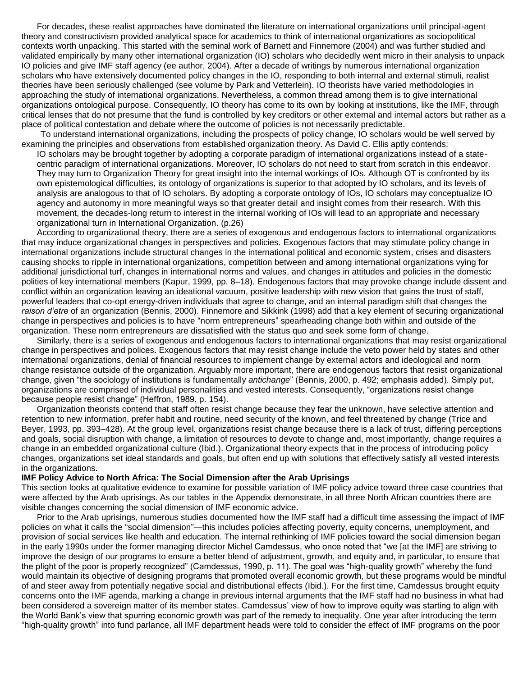For decades, these realist approaches have dominated the literature on international organizations until principal-agent theory and constructivism provided analytical space for academics to think of international organizations as sociopolitical contexts worth unpacking. This started with the seminal work of Barnett and Finnemore (2004) and was further studied and validated empirically by many other international organization (IO) scholars who decidedly went micro in their analysis to unpack IO policies and give IMF staff agency (ee author, 2004). After a decade of writings by numerous international organization scholars who have extensively documented policy changes in the IO, responding to both internal and external stimuli, realist theories have been seriously challenged (see volume by Park and Vetterlein). IO theorists have varied methodologies in approaching the study of international organizations. Nevertheless, a common thread among them is to give international organizations ontological purpose. Consequently, IO theory has come to its own by looking at institutions, like the IMF, through critical lenses that do not presume that the fund is controlled by key creditors or other external and internal actors but rather as a place of political contestation and debate where the outcome of policies is not necessarily predictable.

To understand international organizations, including the prospects of policy change, IO scholars would be well served by examining the principles and observations from established organization theory. As David C. Ellis aptly contends:

IO scholars may be brought together by adopting a corporate paradigm of international organizations instead of a statecentric paradigm of international organizations. Moreover, IO scholars do not need to start from scratch in this endeavor. They may turn to Organization Theory for great insight into the internal workings of IOs. Although OT is confronted by its own epistemological difficulties, its ontology of organizations is superior to that adopted by IO scholars, and its levels of analysis are analogous to that of IO scholars. By adopting a corporate ontology of IOs, IO scholars may conceptualize IO agency and autonomy in more meaningful ways so that greater detail and insight comes from their research. With this movement, the decades-long return to interest in the internal working of IOs will lead to an appropriate and necessary organizational turn in International Organization. (p.26)

According to organizational theory, there are a series of exogenous and endogenous factors to international organizations that may induce organizational changes in perspectives and policies. Exogenous factors that may stimulate policy change in international organizations include structural changes in the international political and economic system, crises and disasters causing shocks to ripple in international organizations, competition between and among international organizations vying for additional jurisdictional turf, changes in international norms and values, and changes in attitudes and policies in the domestic polities of key international members (Kapur, 1999, pp. 8–18). Endogenous factors that may provoke change include dissent and conflict within an organization leaving an ideational vacuum, positive leadership with new vision that gains the trust of staff, powerful leaders that co-opt energy-driven individuals that agree to change, and an internal paradigm shift that changes the *raison d'etre* of an organization (Bennis, 2000). Finnemore and Sikkink (1998) add that a key element of securing organizational change in perspectives and policies is to have "norm entrepreneurs" spearheading change both within and outside of the organization. These norm entrepreneurs are dissatisfied with the status quo and seek some form of change.

Similarly, there is a series of exogenous and endogenous factors to international organizations that may resist organizational change in perspectives and polices. Exogenous factors that may resist change include the veto power held by states and other international organizations, denial of financial resources to implement change by external actors and ideological and norm change resistance outside of the organization. Arguably more important, there are endogenous factors that resist organizational change, given "the sociology of institutions is fundamentally *antichange*" (Bennis, 2000, p. 492; emphasis added). Simply put, organizations are comprised of individual personalities and vested interests. Consequently, "organizations resist change because people resist change" (Heffron, 1989, p. 154).

Organization theorists contend that staff often resist change because they fear the unknown, have selective attention and retention to new information, prefer habit and routine, need security of the known, and feel threatened by change (Trice and Beyer, 1993, pp. 393–428). At the group level, organizations resist change because there is a lack of trust, differing perceptions and goals, social disruption with change, a limitation of resources to devote to change and, most importantly, change requires a change in an embedded organizational culture (Ibid.). Organizational theory expects that in the process of introducing policy changes, organizations set ideal standards and goals, but often end up with solutions that effectively satisfy all vested interests in the organizations.

#### **IMF Policy Advice to North Africa: The Social Dimension after the Arab Uprisings**

This section looks at qualitative evidence to examine for possible variation of IMF policy advice toward three case countries that were affected by the Arab uprisings. As our tables in the Appendix demonstrate, in all three North African countries there are visible changes concerning the social dimension of IMF economic advice.

Prior to the Arab uprisings, numerous studies documented how the IMF staff had a difficult time assessing the impact of IMF policies on what it calls the "social dimension"—this includes policies affecting poverty, equity concerns, unemployment, and provision of social services like health and education. The internal rethinking of IMF policies toward the social dimension began in the early 1990s under the former managing director Michel Camdessus, who once noted that "we [at the IMF] are striving to improve the design of our programs to ensure a better blend of adjustment, growth, and equity and, in particular, to ensure that the plight of the poor is properly recognized" (Camdessus, 1990, p. 11). The goal was "high-quality growth" whereby the fund would maintain its objective of designing programs that promoted overall economic growth, but these programs would be mindful of and steer away from potentially negative social and distributional effects (Ibid.). For the first time, Camdessus brought equity concerns onto the IMF agenda, marking a change in previous internal arguments that the IMF staff had no business in what had been considered a sovereign matter of its member states. Camdessus' view of how to improve equity was starting to align with the World Bank's view that spurring economic growth was part of the remedy to inequality. One year after introducing the term "high-quality growth" into fund parlance, all IMF department heads were told to consider the effect of IMF programs on the poor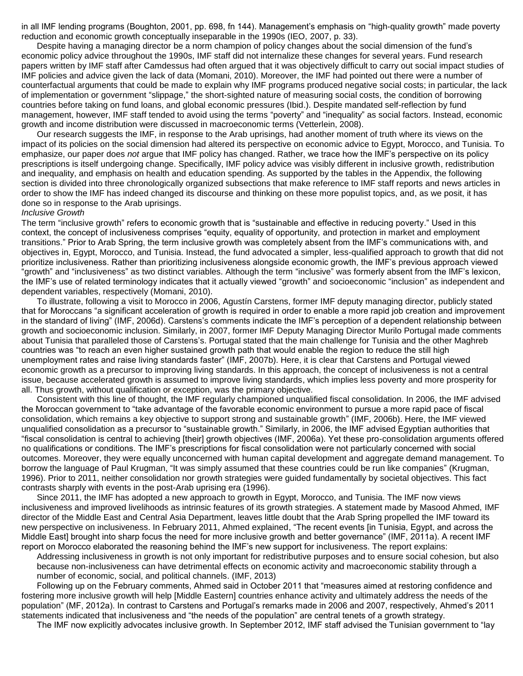in all IMF lending programs (Boughton, 2001, pp. 698, fn 144). Management's emphasis on "high-quality growth" made poverty reduction and economic growth conceptually inseparable in the 1990s (IEO, 2007, p. 33).

Despite having a managing director be a norm champion of policy changes about the social dimension of the fund's economic policy advice throughout the 1990s, IMF staff did not internalize these changes for several years. Fund research papers written by IMF staff after Camdessus had often argued that it was objectively difficult to carry out social impact studies of IMF policies and advice given the lack of data (Momani, 2010). Moreover, the IMF had pointed out there were a number of counterfactual arguments that could be made to explain why IMF programs produced negative social costs; in particular, the lack of implementation or government "slippage," the short-sighted nature of measuring social costs, the condition of borrowing countries before taking on fund loans, and global economic pressures (Ibid.). Despite mandated self-reflection by fund management, however, IMF staff tended to avoid using the terms "poverty" and "inequality" as social factors. Instead, economic growth and income distribution were discussed in macroeconomic terms (Vetterlein, 2008).

Our research suggests the IMF, in response to the Arab uprisings, had another moment of truth where its views on the impact of its policies on the social dimension had altered its perspective on economic advice to Egypt, Morocco, and Tunisia. To emphasize, our paper does *not* argue that IMF policy has changed. Rather, we trace how the IMF's perspective on its policy prescriptions is itself undergoing change. Specifically, IMF policy advice was visibly different in inclusive growth, redistribution and inequality, and emphasis on health and education spending. As supported by the tables in the Appendix, the following section is divided into three chronologically organized subsections that make reference to IMF staff reports and news articles in order to show the IMF has indeed changed its discourse and thinking on these more populist topics, and, as we posit, it has done so in response to the Arab uprisings.

#### *Inclusive Growth*

The term "inclusive growth" refers to economic growth that is "sustainable and effective in reducing poverty." Used in this context, the concept of inclusiveness comprises "equity, equality of opportunity, and protection in market and employment transitions." Prior to Arab Spring, the term inclusive growth was completely absent from the IMF's communications with, and objectives in, Egypt, Morocco, and Tunisia. Instead, the fund advocated a simpler, less-qualified approach to growth that did not prioritize inclusiveness. Rather than prioritizing inclusiveness alongside economic growth, the IMF's previous approach viewed "growth" and "inclusiveness" as two distinct variables. Although the term "inclusive" was formerly absent from the IMF's lexicon, the IMF's use of related terminology indicates that it actually viewed "growth" and socioeconomic "inclusion" as independent and dependent variables, respectively (Momani, 2010).

To illustrate, following a visit to Morocco in 2006, Agustín Carstens, former IMF deputy managing director, publicly stated that for Moroccans "a significant acceleration of growth is required in order to enable a more rapid job creation and improvement in the standard of living" (IMF, 2006d). Carstens's comments indicate the IMF's perception of a dependent relationship between growth and socioeconomic inclusion. Similarly, in 2007, former IMF Deputy Managing Director Murilo Portugal made comments about Tunisia that paralleled those of Carstens's. Portugal stated that the main challenge for Tunisia and the other Maghreb countries was "to reach an even higher sustained growth path that would enable the region to reduce the still high unemployment rates and raise living standards faster" (IMF, 2007b). Here, it is clear that Carstens and Portugal viewed economic growth as a precursor to improving living standards. In this approach, the concept of inclusiveness is not a central issue, because accelerated growth is assumed to improve living standards, which implies less poverty and more prosperity for all. Thus growth, without qualification or exception, was the primary objective.

Consistent with this line of thought, the IMF regularly championed unqualified fiscal consolidation. In 2006, the IMF advised the Moroccan government to "take advantage of the favorable economic environment to pursue a more rapid pace of fiscal consolidation, which remains a key objective to support strong and sustainable growth" (IMF, 2006b). Here, the IMF viewed unqualified consolidation as a precursor to "sustainable growth." Similarly, in 2006, the IMF advised Egyptian authorities that "fiscal consolidation is central to achieving [their] growth objectives (IMF, 2006a). Yet these pro-consolidation arguments offered no qualifications or conditions. The IMF's prescriptions for fiscal consolidation were not particularly concerned with social outcomes. Moreover, they were equally unconcerned with human capital development and aggregate demand management. To borrow the language of Paul Krugman, "It was simply assumed that these countries could be run like companies" (Krugman, 1996). Prior to 2011, neither consolidation nor growth strategies were guided fundamentally by societal objectives. This fact contrasts sharply with events in the post-Arab uprising era (1996).

Since 2011, the IMF has adopted a new approach to growth in Egypt, Morocco, and Tunisia. The IMF now views inclusiveness and improved livelihoods as intrinsic features of its growth strategies. A statement made by Masood Ahmed, IMF director of the Middle East and Central Asia Department, leaves little doubt that the Arab Spring propelled the IMF toward its new perspective on inclusiveness. In February 2011, Ahmed explained, "The recent events [in Tunisia, Egypt, and across the Middle East] brought into sharp focus the need for more inclusive growth and better governance" (IMF, 2011a). A recent IMF report on Morocco elaborated the reasoning behind the IMF's new support for inclusiveness. The report explains:

Addressing inclusiveness in growth is not only important for redistributive purposes and to ensure social cohesion, but also because non-inclusiveness can have detrimental effects on economic activity and macroeconomic stability through a number of economic, social, and political channels. (IMF, 2013)

Following up on the February comments, Ahmed said in October 2011 that "measures aimed at restoring confidence and fostering more inclusive growth will help [Middle Eastern] countries enhance activity and ultimately address the needs of the population" (MF, 2012a). In contrast to Carstens and Portugal's remarks made in 2006 and 2007, respectively, Ahmed's 2011 statements indicated that inclusiveness and "the needs of the population" are central tenets of a growth strategy.

The IMF now explicitly advocates inclusive growth. In September 2012, IMF staff advised the Tunisian government to "lay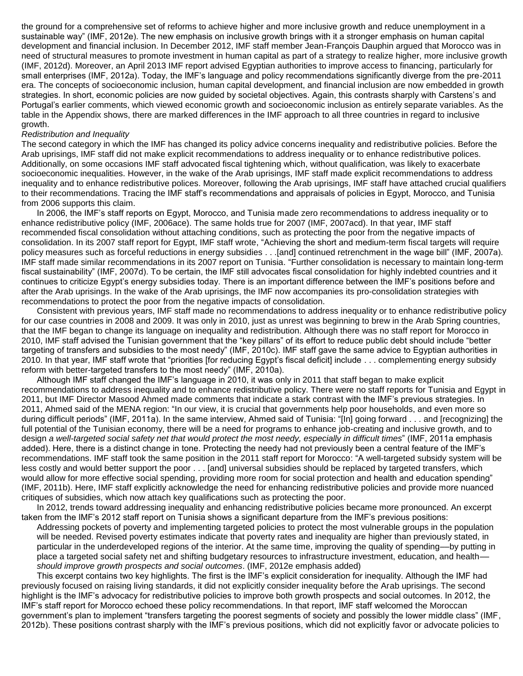the ground for a comprehensive set of reforms to achieve higher and more inclusive growth and reduce unemployment in a sustainable way" (IMF, 2012e). The new emphasis on inclusive growth brings with it a stronger emphasis on human capital development and financial inclusion. In December 2012, IMF staff member Jean-François Dauphin argued that Morocco was in need of structural measures to promote investment in human capital as part of a strategy to realize higher, more inclusive growth (IMF, 2012d). Moreover, an April 2013 IMF report advised Egyptian authorities to improve access to financing, particularly for small enterprises (IMF, 2012a). Today, the IMF's language and policy recommendations significantly diverge from the pre-2011 era. The concepts of socioeconomic inclusion, human capital development, and financial inclusion are now embedded in growth strategies. In short, economic policies are now guided by societal objectives. Again, this contrasts sharply with Carstens's and Portugal's earlier comments, which viewed economic growth and socioeconomic inclusion as entirely separate variables. As the table in the Appendix shows, there are marked differences in the IMF approach to all three countries in regard to inclusive growth.

### *Redistribution and Inequality*

The second category in which the IMF has changed its policy advice concerns inequality and redistributive policies. Before the Arab uprisings, IMF staff did not make explicit recommendations to address inequality or to enhance redistributive polices. Additionally, on some occasions IMF staff advocated fiscal tightening which, without qualification, was likely to exacerbate socioeconomic inequalities. However, in the wake of the Arab uprisings, IMF staff made explicit recommendations to address inequality and to enhance redistributive polices. Moreover, following the Arab uprisings, IMF staff have attached crucial qualifiers to their recommendations. Tracing the IMF staff's recommendations and appraisals of policies in Egypt, Morocco, and Tunisia from 2006 supports this claim.

In 2006, the IMF's staff reports on Egypt, Morocco, and Tunisia made zero recommendations to address inequality or to enhance redistributive policy (IMF, 2006ace). The same holds true for 2007 (IMF, 2007acd). In that year, IMF staff recommended fiscal consolidation without attaching conditions, such as protecting the poor from the negative impacts of consolidation. In its 2007 staff report for Egypt, IMF staff wrote, "Achieving the short and medium-term fiscal targets will require policy measures such as forceful reductions in energy subsidies . . .[and] continued retrenchment in the wage bill" (IMF, 2007a). IMF staff made similar recommendations in its 2007 report on Tunisia. "Further consolidation is necessary to maintain long-term fiscal sustainability" (IMF, 2007d). To be certain, the IMF still advocates fiscal consolidation for highly indebted countries and it continues to criticize Egypt's energy subsidies today. There is an important difference between the IMF's positions before and after the Arab uprisings. In the wake of the Arab uprisings, the IMF now accompanies its pro-consolidation strategies with recommendations to protect the poor from the negative impacts of consolidation.

Consistent with previous years, IMF staff made no recommendations to address inequality or to enhance redistributive policy for our case countries in 2008 and 2009. It was only in 2010, just as unrest was beginning to brew in the Arab Spring countries, that the IMF began to change its language on inequality and redistribution. Although there was no staff report for Morocco in 2010, IMF staff advised the Tunisian government that the "key pillars" of its effort to reduce public debt should include "better targeting of transfers and subsidies to the most needy" (IMF, 2010c). IMF staff gave the same advice to Egyptian authorities in 2010. In that year, IMF staff wrote that "priorities [for reducing Egypt's fiscal deficit] include . . . complementing energy subsidy reform with better-targeted transfers to the most needy" (IMF, 2010a).

Although IMF staff changed the IMF's language in 2010, it was only in 2011 that staff began to make explicit recommendations to address inequality and to enhance redistributive policy. There were no staff reports for Tunisia and Egypt in 2011, but IMF Director Masood Ahmed made comments that indicate a stark contrast with the IMF's previous strategies. In 2011, Ahmed said of the MENA region: "In our view, it is crucial that governments help poor households, and even more so during difficult periods" (IMF, 2011a). In the same interview, Ahmed said of Tunisia: "[In] going forward . . . and [recognizing] the full potential of the Tunisian economy, there will be a need for programs to enhance job-creating and inclusive growth, and to design *a well-targeted social safety net that would protect the most needy, especially in difficult times*" (IMF, 2011a emphasis added). Here, there is a distinct change in tone. Protecting the needy had not previously been a central feature of the IMF's recommendations. IMF staff took the same position in the 2011 staff report for Morocco: "A well-targeted subsidy system will be less costly and would better support the poor . . . [and] universal subsidies should be replaced by targeted transfers, which would allow for more effective social spending, providing more room for social protection and health and education spending" (IMF, 2011b). Here, IMF staff explicitly acknowledge the need for enhancing redistributive policies and provide more nuanced critiques of subsidies, which now attach key qualifications such as protecting the poor.

In 2012, trends toward addressing inequality and enhancing redistributive policies became more pronounced. An excerpt taken from the IMF's 2012 staff report on Tunisia shows a significant departure from the IMF's previous positions: Addressing pockets of poverty and implementing targeted policies to protect the most vulnerable groups in the population will be needed. Revised poverty estimates indicate that poverty rates and inequality are higher than previously stated, in particular in the underdeveloped regions of the interior. At the same time, improving the quality of spending––by putting in place a targeted social safety net and shifting budgetary resources to infrastructure investment, education, and health––

*should improve growth prospects and social outcomes*. (IMF, 2012e emphasis added)

This excerpt contains two key highlights. The first is the IMF's explicit consideration for inequality. Although the IMF had previously focused on raising living standards, it did not explicitly consider inequality before the Arab uprisings. The second highlight is the IMF's advocacy for redistributive policies to improve both growth prospects and social outcomes. In 2012, the IMF's staff report for Morocco echoed these policy recommendations. In that report, IMF staff welcomed the Moroccan government's plan to implement "transfers targeting the poorest segments of society and possibly the lower middle class" (IMF, 2012b). These positions contrast sharply with the IMF's previous positions, which did not explicitly favor or advocate policies to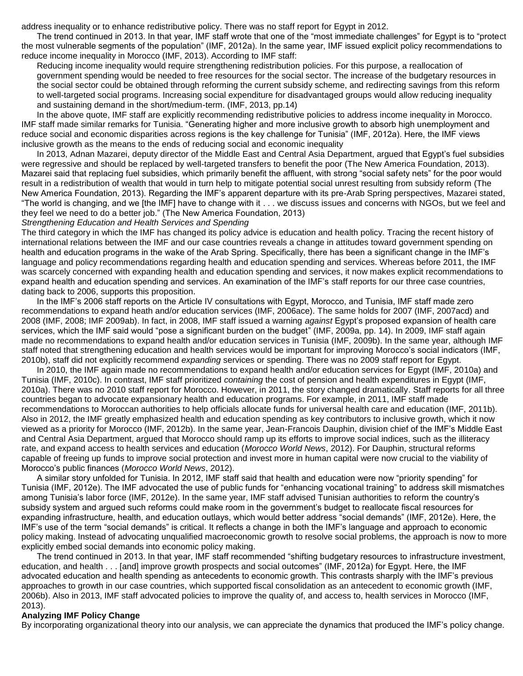address inequality or to enhance redistributive policy. There was no staff report for Egypt in 2012.

The trend continued in 2013. In that year, IMF staff wrote that one of the "most immediate challenges" for Egypt is to "protect the most vulnerable segments of the population" (IMF, 2012a). In the same year, IMF issued explicit policy recommendations to reduce income inequality in Morocco (IMF, 2013). According to IMF staff:

Reducing income inequality would require strengthening redistribution policies. For this purpose, a reallocation of government spending would be needed to free resources for the social sector. The increase of the budgetary resources in the social sector could be obtained through reforming the current subsidy scheme, and redirecting savings from this reform to well-targeted social programs. Increasing social expenditure for disadvantaged groups would allow reducing inequality and sustaining demand in the short/medium-term. (IMF, 2013, pp.14)

In the above quote, IMF staff are explicitly recommending redistributive policies to address income inequality in Morocco. IMF staff made similar remarks for Tunisia. "Generating higher and more inclusive growth to absorb high unemployment and reduce social and economic disparities across regions is the key challenge for Tunisia" (IMF, 2012a). Here, the IMF views inclusive growth as the means to the ends of reducing social and economic inequality

In 2013, Adnan Mazarei, deputy director of the Middle East and Central Asia Department, argued that Egypt's fuel subsidies were regressive and should be replaced by well-targeted transfers to benefit the poor (The New America Foundation, 2013). Mazarei said that replacing fuel subsidies, which primarily benefit the affluent, with strong "social safety nets" for the poor would result in a redistribution of wealth that would in turn help to mitigate potential social unrest resulting from subsidy reform (The New America Foundation, 2013). Regarding the IMF's apparent departure with its pre-Arab Spring perspectives, Mazarei stated, "The world is changing, and we [the IMF] have to change with it . . . we discuss issues and concerns with NGOs, but we feel and they feel we need to do a better job." (The New America Foundation, 2013)

#### *Strengthening Education and Health Services and Spending*

The third category in which the IMF has changed its policy advice is education and health policy. Tracing the recent history of international relations between the IMF and our case countries reveals a change in attitudes toward government spending on health and education programs in the wake of the Arab Spring. Specifically, there has been a significant change in the IMF's language and policy recommendations regarding health and education spending and services. Whereas before 2011, the IMF was scarcely concerned with expanding health and education spending and services, it now makes explicit recommendations to expand health and education spending and services. An examination of the IMF's staff reports for our three case countries, dating back to 2006, supports this proposition.

In the IMF's 2006 staff reports on the Article IV consultations with Egypt, Morocco, and Tunisia, IMF staff made zero recommendations to expand heath and/or education services (IMF, 2006ace). The same holds for 2007 (IMF, 2007acd) and 2008 (IMF, 2008; IMF 2009ab). In fact, in 2008, IMF staff issued a warning *against* Egypt's proposed expansion of health care services, which the IMF said would "pose a significant burden on the budget" (IMF, 2009a, pp. 14). In 2009, IMF staff again made no recommendations to expand health and/or education services in Tunisia (IMF, 2009b). In the same year, although IMF staff noted that strengthening education and health services would be important for improving Morocco's social indicators (IMF, 2010b), staff did not explicitly recommend *expanding* services or spending. There was no 2009 staff report for Egypt.

In 2010, the IMF again made no recommendations to expand health and/or education services for Egypt (IMF, 2010a) and Tunisia (IMF, 2010c). In contrast, IMF staff prioritized *containing* the cost of pension and health expenditures in Egypt (IMF, 2010a). There was no 2010 staff report for Morocco. However, in 2011, the story changed dramatically. Staff reports for all three countries began to advocate expansionary health and education programs. For example, in 2011, IMF staff made recommendations to Moroccan authorities to help officials allocate funds for universal health care and education (IMF, 2011b). Also in 2012, the IMF greatly emphasized health and education spending as key contributors to inclusive growth, which it now viewed as a priority for Morocco (IMF, 2012b). In the same year, Jean-Francois Dauphin, division chief of the IMF's Middle East and Central Asia Department, argued that Morocco should ramp up its efforts to improve social indices, such as the illiteracy rate, and expand access to health services and education (*Morocco World News*, 2012). For Dauphin, structural reforms capable of freeing up funds to improve social protection and invest more in human capital were now crucial to the viability of Morocco's public finances (*Morocco World News*, 2012).

A similar story unfolded for Tunisia. In 2012, IMF staff said that health and education were now "priority spending" for Tunisia (IMF, 2012e). The IMF advocated the use of public funds for "enhancing vocational training" to address skill mismatches among Tunisia's labor force (IMF, 2012e). In the same year, IMF staff advised Tunisian authorities to reform the country's subsidy system and argued such reforms could make room in the government's budget to reallocate fiscal resources for expanding infrastructure, health, and education outlays, which would better address "social demands" (IMF, 2012e). Here, the IMF's use of the term "social demands" is critical. It reflects a change in both the IMF's language and approach to economic policy making. Instead of advocating unqualified macroeconomic growth to resolve social problems, the approach is now to more explicitly embed social demands into economic policy making.

The trend continued in 2013. In that year, IMF staff recommended "shifting budgetary resources to infrastructure investment, education, and health . . . [and] improve growth prospects and social outcomes" (IMF, 2012a) for Egypt. Here, the IMF advocated education and health spending as antecedents to economic growth. This contrasts sharply with the IMF's previous approaches to growth in our case countries, which supported fiscal consolidation as an antecedent to economic growth (IMF, 2006b). Also in 2013, IMF staff advocated policies to improve the quality of, and access to, health services in Morocco (IMF, 2013).

# **Analyzing IMF Policy Change**

By incorporating organizational theory into our analysis, we can appreciate the dynamics that produced the IMF's policy change.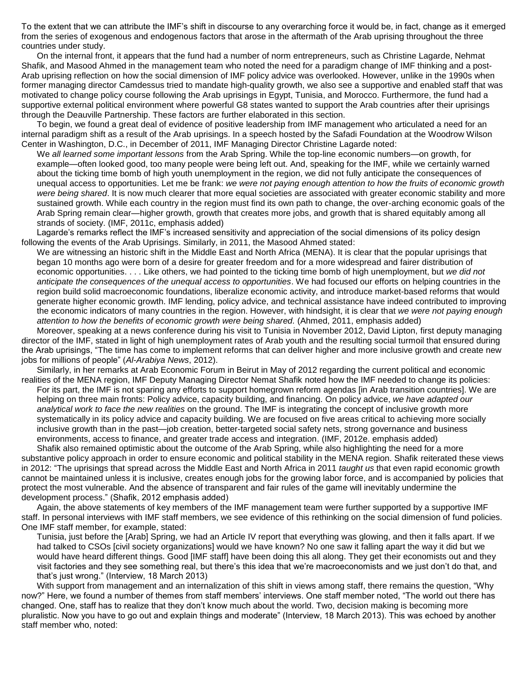To the extent that we can attribute the IMF's shift in discourse to any overarching force it would be, in fact, change as it emerged from the series of exogenous and endogenous factors that arose in the aftermath of the Arab uprising throughout the three countries under study.

On the internal front, it appears that the fund had a number of norm entrepreneurs, such as Christine Lagarde, Nehmat Shafik, and Masood Ahmed in the management team who noted the need for a paradigm change of IMF thinking and a post-Arab uprising reflection on how the social dimension of IMF policy advice was overlooked. However, unlike in the 1990s when former managing director Camdessus tried to mandate high-quality growth, we also see a supportive and enabled staff that was motivated to change policy course following the Arab uprisings in Egypt, Tunisia, and Morocco. Furthermore, the fund had a supportive external political environment where powerful G8 states wanted to support the Arab countries after their uprisings through the Deauville Partnership. These factors are further elaborated in this section.

To begin, we found a great deal of evidence of positive leadership from IMF management who articulated a need for an internal paradigm shift as a result of the Arab uprisings. In a speech hosted by the Safadi Foundation at the Woodrow Wilson Center in Washington, D.C., in December of 2011, IMF Managing Director Christine Lagarde noted:

We *all learned some important lessons* from the Arab Spring. While the top-line economic numbers—on growth, for example—often looked good, too many people were being left out. And, speaking for the IMF, while we certainly warned about the ticking time bomb of high youth unemployment in the region, we did not fully anticipate the consequences of unequal access to opportunities. Let me be frank: *we were not paying enough attention to how the fruits of economic growth were being shared*. It is now much clearer that more equal societies are associated with greater economic stability and more sustained growth. While each country in the region must find its own path to change, the over-arching economic goals of the Arab Spring remain clear—higher growth, growth that creates more jobs, and growth that is shared equitably among all strands of society. (IMF, 2011c, emphasis added)

Lagarde's remarks reflect the IMF's increased sensitivity and appreciation of the social dimensions of its policy design following the events of the Arab Uprisings. Similarly, in 2011, the Masood Ahmed stated:

We are witnessing an historic shift in the Middle East and North Africa (MENA). It is clear that the popular uprisings that began 10 months ago were born of a desire for greater freedom and for a more widespread and fairer distribution of economic opportunities. . . . Like others, we had pointed to the ticking time bomb of high unemployment, but *we did not anticipate the consequences of the unequal access to opportunities*. We had focused our efforts on helping countries in the region build solid macroeconomic foundations, liberalize economic activity, and introduce market-based reforms that would generate higher economic growth. IMF lending, policy advice, and technical assistance have indeed contributed to improving the economic indicators of many countries in the region. However, with hindsight, it is clear that *we were not paying enough attention to how the benefits of economic growth were being shared.* (Ahmed, 2011, emphasis added)

Moreover, speaking at a news conference during his visit to Tunisia in November 2012, David Lipton, first deputy managing director of the IMF, stated in light of high unemployment rates of Arab youth and the resulting social turmoil that ensured during the Arab uprisings, "The time has come to implement reforms that can deliver higher and more inclusive growth and create new jobs for millions of people" (*Al-Arabiya News*, 2012).

Similarly, in her remarks at Arab Economic Forum in Beirut in May of 2012 regarding the current political and economic realities of the MENA region, IMF Deputy Managing Director Nemat Shafik noted how the IMF needed to change its policies:

For its part, the IMF is not sparing any efforts to support homegrown reform agendas [in Arab transition countries]. We are helping on three main fronts: Policy advice, capacity building, and financing. On policy advice, *we have adapted our analytical work to face the new realities* on the ground. The IMF is integrating the concept of inclusive growth more systematically in its policy advice and capacity building. We are focused on five areas critical to achieving more socially inclusive growth than in the past—job creation, better-targeted social safety nets, strong governance and business environments, access to finance, and greater trade access and integration. (IMF, 2012e. emphasis added) Shafik also remained optimistic about the outcome of the Arab Spring, while also highlighting the need for a more

substantive policy approach in order to ensure economic and political stability in the MENA region. Shafik reiterated these views in 2012: "The uprisings that spread across the Middle East and North Africa in 2011 *taught us* that even rapid economic growth cannot be maintained unless it is inclusive, creates enough jobs for the growing labor force, and is accompanied by policies that protect the most vulnerable. And the absence of transparent and fair rules of the game will inevitably undermine the development process." (Shafik, 2012 emphasis added)

Again, the above statements of key members of the IMF management team were further supported by a supportive IMF staff. In personal interviews with IMF staff members, we see evidence of this rethinking on the social dimension of fund policies. One IMF staff member, for example, stated:

Tunisia, just before the [Arab] Spring, we had an Article IV report that everything was glowing, and then it falls apart. If we had talked to CSOs [civil society organizations] would we have known? No one saw it falling apart the way it did but we would have heard different things. Good [IMF staff] have been doing this all along. They get their economists out and they visit factories and they see something real, but there's this idea that we're macroeconomists and we just don't do that, and that's just wrong." (Interview, 18 March 2013)

With support from management and an internalization of this shift in views among staff, there remains the question, "Why now?" Here, we found a number of themes from staff members' interviews. One staff member noted, "The world out there has changed. One, staff has to realize that they don't know much about the world. Two, decision making is becoming more pluralistic. Now you have to go out and explain things and moderate" (Interview, 18 March 2013). This was echoed by another staff member who, noted: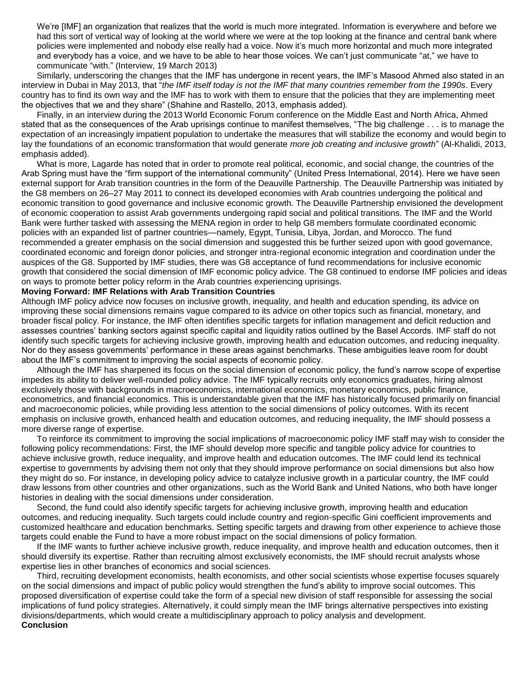We're [IMF] an organization that realizes that the world is much more integrated. Information is everywhere and before we had this sort of vertical way of looking at the world where we were at the top looking at the finance and central bank where policies were implemented and nobody else really had a voice. Now it's much more horizontal and much more integrated and everybody has a voice, and we have to be able to hear those voices. We can't just communicate "at," we have to communicate "with." (Interview, 19 March 2013)

Similarly, underscoring the changes that the IMF has undergone in recent years, the IMF's Masood Ahmed also stated in an interview in Dubai in May 2013, that "*the IMF itself today is not the IMF that many countries remember from the 1990s*. Every country has to find its own way and the IMF has to work with them to ensure that the policies that they are implementing meet the objectives that we and they share" (Shahine and Rastello, 2013, emphasis added).

Finally, in an interview during the 2013 World Economic Forum conference on the Middle East and North Africa, Ahmed stated that as the consequences of the Arab uprisings continue to manifest themselves, "The big challenge . . . is to manage the expectation of an increasingly impatient population to undertake the measures that will stabilize the economy and would begin to lay the foundations of an economic transformation that would generate *more job creating and inclusive growth*" (Al-Khalidi, 2013, emphasis added).

What is more, Lagarde has noted that in order to promote real political, economic, and social change, the countries of the Arab Spring must have the "firm support of the international community" (United Press International, 2014). Here we have seen external support for Arab transition countries in the form of the Deauville Partnership. The Deauville Partnership was initiated by the G8 members on 26–27 May 2011 to connect its developed economies with Arab countries undergoing the political and economic transition to good governance and inclusive economic growth. The Deauville Partnership envisioned the development of economic cooperation to assist Arab governments undergoing rapid social and political transitions. The IMF and the World Bank were further tasked with assessing the MENA region in order to help G8 members formulate coordinated economic policies with an expanded list of partner countries—namely, Egypt, Tunisia, Libya, Jordan, and Morocco. The fund recommended a greater emphasis on the social dimension and suggested this be further seized upon with good governance, coordinated economic and foreign donor policies, and stronger intra-regional economic integration and coordination under the auspices of the G8. Supported by IMF studies, there was G8 acceptance of fund recommendations for inclusive economic growth that considered the social dimension of IMF economic policy advice. The G8 continued to endorse IMF policies and ideas on ways to promote better policy reform in the Arab countries experiencing uprisings.

## **Moving Forward: IMF Relations with Arab Transition Countries**

Although IMF policy advice now focuses on inclusive growth, inequality, and health and education spending, its advice on improving these social dimensions remains vague compared to its advice on other topics such as financial, monetary, and broader fiscal policy. For instance, the IMF often identifies specific targets for inflation management and deficit reduction and assesses countries' banking sectors against specific capital and liquidity ratios outlined by the Basel Accords. IMF staff do not identify such specific targets for achieving inclusive growth, improving health and education outcomes, and reducing inequality. Nor do they assess governments' performance in these areas against benchmarks. These ambiguities leave room for doubt about the IMF's commitment to improving the social aspects of economic policy.

Although the IMF has sharpened its focus on the social dimension of economic policy, the fund's narrow scope of expertise impedes its ability to deliver well-rounded policy advice. The IMF typically recruits only economics graduates, hiring almost exclusively those with backgrounds in macroeconomics, international economics, monetary economics, public finance, econometrics, and financial economics. This is understandable given that the IMF has historically focused primarily on financial and macroeconomic policies, while providing less attention to the social dimensions of policy outcomes. With its recent emphasis on inclusive growth, enhanced health and education outcomes, and reducing inequality, the IMF should possess a more diverse range of expertise.

To reinforce its commitment to improving the social implications of macroeconomic policy IMF staff may wish to consider the following policy recommendations: First, the IMF should develop more specific and tangible policy advice for countries to achieve inclusive growth, reduce inequality, and improve health and education outcomes. The IMF could lend its technical expertise to governments by advising them not only that they should improve performance on social dimensions but also how they might do so. For instance, in developing policy advice to catalyze inclusive growth in a particular country, the IMF could draw lessons from other countries and other organizations, such as the World Bank and United Nations, who both have longer histories in dealing with the social dimensions under consideration.

Second, the fund could also identify specific targets for achieving inclusive growth, improving health and education outcomes, and reducing inequality. Such targets could include country and region-specific Gini coefficient improvements and customized healthcare and education benchmarks. Setting specific targets and drawing from other experience to achieve those targets could enable the Fund to have a more robust impact on the social dimensions of policy formation.

If the IMF wants to further achieve inclusive growth, reduce inequality, and improve health and education outcomes, then it should diversify its expertise. Rather than recruiting almost exclusively economists, the IMF should recruit analysts whose expertise lies in other branches of economics and social sciences.

Third, recruiting development economists, health economists, and other social scientists whose expertise focuses squarely on the social dimensions and impact of public policy would strengthen the fund's ability to improve social outcomes. This proposed diversification of expertise could take the form of a special new division of staff responsible for assessing the social implications of fund policy strategies. Alternatively, it could simply mean the IMF brings alternative perspectives into existing divisions/departments, which would create a multidisciplinary approach to policy analysis and development. **Conclusion**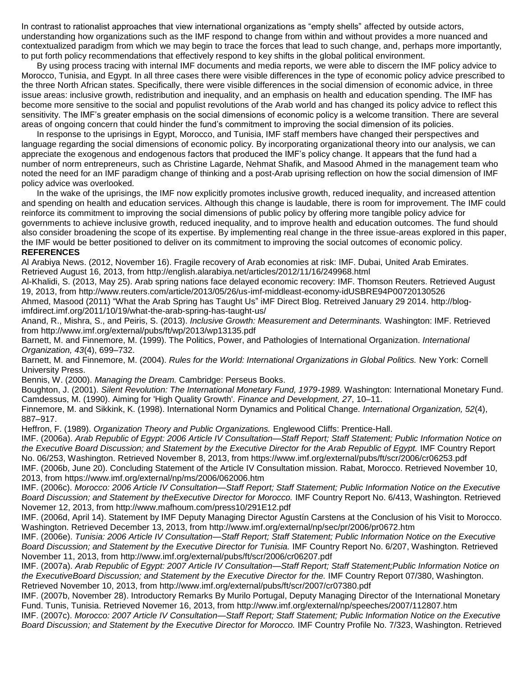In contrast to rationalist approaches that view international organizations as "empty shells" affected by outside actors, understanding how organizations such as the IMF respond to change from within and without provides a more nuanced and contextualized paradigm from which we may begin to trace the forces that lead to such change, and, perhaps more importantly, to put forth policy recommendations that effectively respond to key shifts in the global political environment.

By using process tracing with internal IMF documents and media reports, we were able to discern the IMF policy advice to Morocco, Tunisia, and Egypt. In all three cases there were visible differences in the type of economic policy advice prescribed to the three North African states. Specifically, there were visible differences in the social dimension of economic advice, in three issue areas: inclusive growth, redistribution and inequality, and an emphasis on health and education spending. The IMF has become more sensitive to the social and populist revolutions of the Arab world and has changed its policy advice to reflect this sensitivity. The IMF's greater emphasis on the social dimensions of economic policy is a welcome transition. There are several areas of ongoing concern that could hinder the fund's commitment to improving the social dimension of its policies.

In response to the uprisings in Egypt, Morocco, and Tunisia, IMF staff members have changed their perspectives and language regarding the social dimensions of economic policy. By incorporating organizational theory into our analysis, we can appreciate the exogenous and endogenous factors that produced the IMF's policy change. It appears that the fund had a number of norm entrepreneurs, such as Christine Lagarde, Nehmat Shafik, and Masood Ahmed in the management team who noted the need for an IMF paradigm change of thinking and a post-Arab uprising reflection on how the social dimension of IMF policy advice was overlooked.

In the wake of the uprisings, the IMF now explicitly promotes inclusive growth, reduced inequality, and increased attention and spending on health and education services. Although this change is laudable, there is room for improvement. The IMF could reinforce its commitment to improving the social dimensions of public policy by offering more tangible policy advice for governments to achieve inclusive growth, reduced inequality, and to improve health and education outcomes. The fund should also consider broadening the scope of its expertise. By implementing real change in the three issue-areas explored in this paper, the IMF would be better positioned to deliver on its commitment to improving the social outcomes of economic policy. **REFERENCES**

Al Arabiya News. (2012, November 16). Fragile recovery of Arab economies at risk: IMF. Dubai, United Arab Emirates. Retrieved August 16, 2013, from http://english.alarabiya.net/articles/2012/11/16/249968.html

Al-Khalidi, S. (2013, May 25). Arab spring nations face delayed economic recovery: IMF. Thomson Reuters. Retrieved August 19, 2013, from http://www.reuters.com/article/2013/05/26/us-imf-middleast-economy-idUSBRE94P00720130526 Ahmed, Masood (2011) "What the Arab Spring has Taught Us" iMF Direct Blog. Retreived January 29 2014. http://blog-

imfdirect.imf.org/2011/10/19/what-the-arab-spring-has-taught-us/

Anand, R., Mishra, S., and Peiris, S. (2013). *Inclusive Growth: Measurement and Determinants.* Washington: IMF. Retrieved from http://www.imf.org/external/pubs/ft/wp/2013/wp13135.pdf

Barnett, M. and Finnemore, M. (1999). The Politics, Power, and Pathologies of International Organization. *International Organization, 43*(4), 699–732.

Barnett, M. and Finnemore, M. (2004). *Rules for the World: International Organizations in Global Politics.* New York: Cornell University Press.

Bennis, W. (2000). *Managing the Dream.* Cambridge: Perseus Books.

Boughton, J. (2001). *Silent Revolution: The International Monetary Fund, 1979-1989.* Washington: International Monetary Fund. Camdessus, M. (1990). Aiming for 'High Quality Growth'. *Finance and Development, 27*, 10–11.

Finnemore, M. and Sikkink, K. (1998). International Norm Dynamics and Political Change. *International Organization, 52*(4), 887–917.

Heffron, F. (1989). *Organization Theory and Public Organizations.* Englewood Cliffs: Prentice-Hall.

IMF. (2006a). *Arab Republic of Egypt: 2006 Article IV Consultation—Staff Report; Staff Statement; Public Information Notice on the Executive Board Discussion; and Statement by the Executive Director for the Arab Republic of Egypt.* IMF Country Report No. 06/253, Washington. Retrieved November 8, 2013, from https://www.imf.org/external/pubs/ft/scr/2006/cr06253.pdf IMF. (2006b, June 20). Concluding Statement of the Article IV Consultation mission. Rabat, Morocco. Retrieved November 10,

2013, from https://www.imf.org/external/np/ms/2006/062006.htm

IMF. (2006c). *Morocco: 2006 Article IV Consultation—Staff Report; Staff Statement; Public Information Notice on the Executive Board Discussion; and Statement by theExecutive Director for Morocco.* IMF Country Report No. 6/413, Washington. Retrieved Novemer 12, 2013, from http://www.mafhoum.com/press10/291E12.pdf

IMF. (2006d, April 14). Statement by IMF Deputy Managing Director Agustín Carstens at the Conclusion of his Visit to Morocco. Washington. Retrieved December 13, 2013, from http://www.imf.org/external/np/sec/pr/2006/pr0672.htm

IMF. (2006e). *Tunisia: 2006 Article IV Consultation—Staff Report; Staff Statement; Public Information Notice on the Executive Board Discussion; and Statement by the Executive Director for Tunisia.* IMF Country Report No. 6/207, Washington. Retrieved November 11, 2013, from http://www.imf.org/external/pubs/ft/scr/2006/cr06207.pdf

IMF. (2007a). *Arab Republic of Egypt: 2007 Article IV Consultation—Staff Report; Staff Statement;Public Information Notice on the ExecutiveBoard Discussion; and Statement by the Executive Director for the.* IMF Country Report 07/380, Washington. Retrieved November 10, 2013, from http://www.imf.org/external/pubs/ft/scr/2007/cr07380.pdf

IMF. (2007b, November 28). Introductory Remarks By Murilo Portugal, Deputy Managing Director of the International Monetary Fund. Tunis, Tunisia. Retrieved Novemer 16, 2013, from http://www.imf.org/external/np/speeches/2007/112807.htm

IMF. (2007c). *Morocco: 2007 Article IV Consultation—Staff Report; Staff Statement; Public Information Notice on the Executive Board Discussion; and Statement by the Executive Director for Morocco.* IMF Country Profile No. 7/323, Washington. Retrieved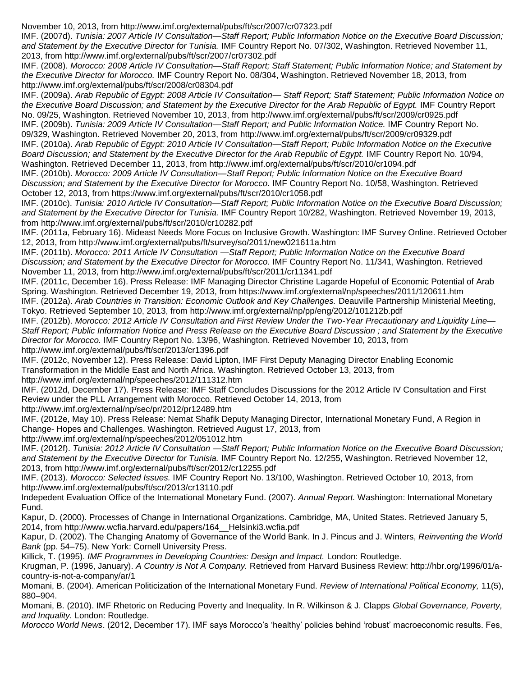November 10, 2013, from http://www.imf.org/external/pubs/ft/scr/2007/cr07323.pdf

IMF. (2007d). *Tunisia: 2007 Article IV Consultation—Staff Report; Public Information Notice on the Executive Board Discussion; and Statement by the Executive Director for Tunisia.* IMF Country Report No. 07/302, Washington. Retrieved November 11, 2013, from http://www.imf.org/external/pubs/ft/scr/2007/cr07302.pdf

IMF. (2008). *Morocco: 2008 Article IV Consultation—Staff Report; Staff Statement; Public Information Notice; and Statement by the Executive Director for Morocco.* IMF Country Report No. 08/304, Washington. Retrieved November 18, 2013, from http://www.imf.org/external/pubs/ft/scr/2008/cr08304.pdf

IMF. (2009a). *Arab Republic of Egypt: 2008 Article IV Consultation— Staff Report; Staff Statement; Public Information Notice on the Executive Board Discussion; and Statement by the Executive Director for the Arab Republic of Egypt.* IMF Country Report No. 09/25, Washington. Retrieved November 10, 2013, from http://www.imf.org/external/pubs/ft/scr/2009/cr0925.pdf IMF. (2009b). *Tunisia: 2009 Article IV Consultation—Staff Report; and Public Information Notice.* IMF Country Report No. 09/329, Washington. Retrieved November 20, 2013, from http://www.imf.org/external/pubs/ft/scr/2009/cr09329.pdf IMF. (2010a). *Arab Republic of Egypt: 2010 Article IV Consultation—Staff Report; Public Information Notice on the Executive Board Discussion; and Statement by the Executive Director for the Arab Republic of Egypt.* IMF Country Report No. 10/94, Washington. Retrieved December 11, 2013, from http://www.imf.org/external/pubs/ft/scr/2010/cr1094.pdf

IMF. (2010b). *Morocco: 2009 Article IV Consultation—Staff Report; Public Information Notice on the Executive Board Discussion; and Statement by the Executive Director for Morocco.* IMF Country Report No. 10/58, Washington. Retrieved October 12, 2013, from https://www.imf.org/external/pubs/ft/scr/2010/cr1058.pdf

IMF. (2010c). *Tunisia: 2010 Article IV Consultation—Staff Report; Public Information Notice on the Executive Board Discussion; and Statement by the Executive Director for Tunisia.* IMF Country Report 10/282, Washington. Retrieved November 19, 2013, from http://www.imf.org/external/pubs/ft/scr/2010/cr10282.pdf

IMF. (2011a, February 16). Mideast Needs More Focus on Inclusive Growth. Washington: IMF Survey Online. Retrieved October 12, 2013, from http://www.imf.org/external/pubs/ft/survey/so/2011/new021611a.htm

IMF. (2011b). *Morocco: 2011 Article IV Consultation —Staff Report; Public Information Notice on the Executive Board Discussion; and Statement by the Executive Director for Morocco.* IMF Country Report No. 11/341, Washington. Retrieved November 11, 2013, from http://www.imf.org/external/pubs/ft/scr/2011/cr11341.pdf

IMF. (2011c, December 16). Press Release: IMF Managing Director Christine Lagarde Hopeful of Economic Potential of Arab Spring. Washington. Retrieved December 19, 2013, from https://www.imf.org/external/np/speeches/2011/120611.htm IMF. (2012a). *Arab Countries in Transition: Economic Outlook and Key Challenges.* Deauville Partnership Ministerial Meeting, Tokyo. Retrieved September 10, 2013, from http://www.imf.org/external/np/pp/eng/2012/101212b.pdf

IMF. (2012b). *Morocco: 2012 Article IV Consultation and First Review Under the Two-Year Precautionary and Liquidity Line— Staff Report; Public Information Notice and Press Release on the Executive Board Discussion ; and Statement by the Executive Director for Morocco.* IMF Country Report No. 13/96, Washington. Retrieved November 10, 2013, from http://www.imf.org/external/pubs/ft/scr/2013/cr1396.pdf

IMF. (2012c, November 12). Press Release: David Lipton, IMF First Deputy Managing Director Enabling Economic Transformation in the Middle East and North Africa. Washington. Retrieved October 13, 2013, from http://www.imf.org/external/np/speeches/2012/111312.htm

IMF. (2012d, December 17). Press Release: IMF Staff Concludes Discussions for the 2012 Article IV Consultation and First Review under the PLL Arrangement with Morocco*.* Retrieved October 14, 2013, from

http://www.imf.org/external/np/sec/pr/2012/pr12489.htm

IMF. (2012e, May 10). Press Release: Nemat Shafik Deputy Managing Director, International Monetary Fund, A Region in Change- Hopes and Challenges. Washington. Retrieved August 17, 2013, from

http://www.imf.org/external/np/speeches/2012/051012.htm

IMF. (2012f). *Tunisia: 2012 Article IV Consultation —Staff Report; Public Information Notice on the Executive Board Discussion; and Statement by the Executive Director for Tunisia.* IMF Country Report No. 12/255, Washington. Retrieved November 12, 2013, from http://www.imf.org/external/pubs/ft/scr/2012/cr12255.pdf

IMF. (2013). *Morocco: Selected Issues.* IMF Country Report No. 13/100, Washington. Retrieved October 10, 2013, from http://www.imf.org/external/pubs/ft/scr/2013/cr13110.pdf

Indepedent Evaluation Office of the International Monetary Fund. (2007). *Annual Report.* Washington: International Monetary Fund.

Kapur, D. (2000). Processes of Change in International Organizations. Cambridge, MA, United States. Retrieved January 5, 2014, from http://www.wcfia.harvard.edu/papers/164\_\_Helsinki3.wcfia.pdf

Kapur, D. (2002). The Changing Anatomy of Governance of the World Bank. In J. Pincus and J. Winters, *Reinventing the World Bank* (pp. 54–75). New York: Cornell University Press.

Killick, T. (1995). *IMF Programmes in Developing Countries: Design and Impact.* London: Routledge.

Krugman, P. (1996, January). *A Country is Not A Company.* Retrieved from Harvard Business Review: http://hbr.org/1996/01/acountry-is-not-a-company/ar/1

Momani, B. (2004). American Politicization of the International Monetary Fund. *Review of International Political Economy,* 11(5), 880–904.

Momani, B. (2010). IMF Rhetoric on Reducing Poverty and Inequality. In R. Wilkinson & J. Clapps *Global Governance, Poverty, and Inquality.* London: Routledge.

*Morocco World News*. (2012, December 17). IMF says Morocco's 'healthy' policies behind 'robust' macroeconomic results. Fes,